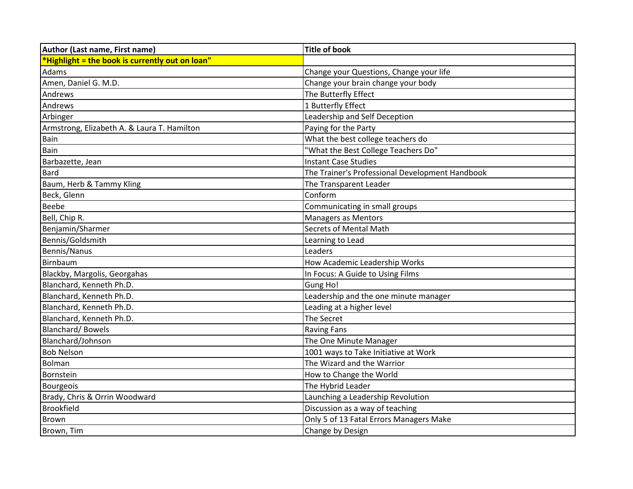| Author (Last name, First name)                  | <b>Title of book</b>                            |
|-------------------------------------------------|-------------------------------------------------|
| *Highlight = the book is currently out on loan" |                                                 |
| Adams                                           | Change your Questions, Change your life         |
| Amen, Daniel G. M.D.                            | Change your brain change your body              |
| Andrews                                         | The Butterfly Effect                            |
| Andrews                                         | 1 Butterfly Effect                              |
| Arbinger                                        | Leadership and Self Deception                   |
| Armstrong, Elizabeth A. & Laura T. Hamilton     | Paying for the Party                            |
| Bain                                            | What the best college teachers do               |
| Bain                                            | "What the Best College Teachers Do"             |
| Barbazette, Jean                                | <b>Instant Case Studies</b>                     |
| <b>Bard</b>                                     | The Trainer's Professional Development Handbook |
| Baum, Herb & Tammy Kling                        | The Transparent Leader                          |
| Beck, Glenn                                     | Conform                                         |
| Beebe                                           | Communicating in small groups                   |
| Bell, Chip R.                                   | <b>Managers as Mentors</b>                      |
| Benjamin/Sharmer                                | <b>Secrets of Mental Math</b>                   |
| Bennis/Goldsmith                                | Learning to Lead                                |
| Bennis/Nanus                                    | Leaders                                         |
| Birnbaum                                        | How Academic Leadership Works                   |
| Blackby, Margolis, Georgahas                    | In Focus: A Guide to Using Films                |
| Blanchard, Kenneth Ph.D.                        | Gung Ho!                                        |
| Blanchard, Kenneth Ph.D.                        | Leadership and the one minute manager           |
| Blanchard, Kenneth Ph.D.                        | Leading at a higher level                       |
| Blanchard, Kenneth Ph.D.                        | The Secret                                      |
| <b>Blanchard/Bowels</b>                         | <b>Raving Fans</b>                              |
| Blanchard/Johnson                               | The One Minute Manager                          |
| <b>Bob Nelson</b>                               | 1001 ways to Take Initiative at Work            |
| Bolman                                          | The Wizard and the Warrior                      |
| Bornstein                                       | How to Change the World                         |
| <b>Bourgeois</b>                                | The Hybrid Leader                               |
| Brady, Chris & Orrin Woodward                   | Launching a Leadership Revolution               |
| <b>Brookfield</b>                               | Discussion as a way of teaching                 |
| Brown                                           | Only 5 of 13 Fatal Errors Managers Make         |
| Brown, Tim                                      | Change by Design                                |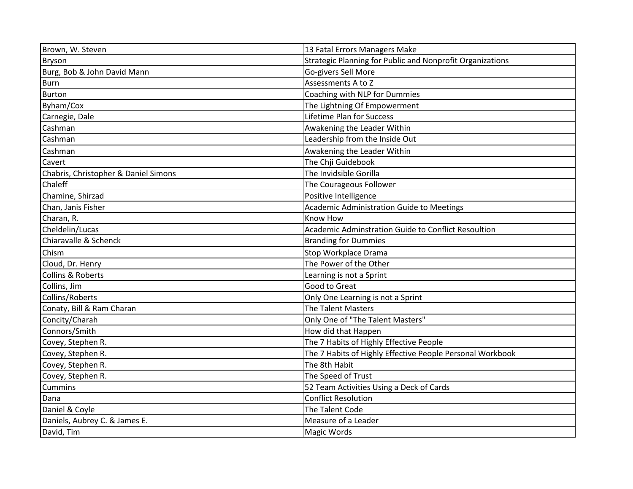| Brown, W. Steven                     | 13 Fatal Errors Managers Make                             |
|--------------------------------------|-----------------------------------------------------------|
| <b>Bryson</b>                        | Strategic Planning for Public and Nonprofit Organizations |
| Burg, Bob & John David Mann          | Go-givers Sell More                                       |
| <b>Burn</b>                          | Assessments A to Z                                        |
| <b>Burton</b>                        | Coaching with NLP for Dummies                             |
| Byham/Cox                            | The Lightning Of Empowerment                              |
| Carnegie, Dale                       | Lifetime Plan for Success                                 |
| Cashman                              | Awakening the Leader Within                               |
| Cashman                              | Leadership from the Inside Out                            |
| Cashman                              | Awakening the Leader Within                               |
| Cavert                               | The Chji Guidebook                                        |
| Chabris, Christopher & Daniel Simons | The Invidsible Gorilla                                    |
| Chaleff                              | The Courageous Follower                                   |
| Chamine, Shirzad                     | Positive Intelligence                                     |
| Chan, Janis Fisher                   | Academic Administration Guide to Meetings                 |
| Charan, R.                           | Know How                                                  |
| Cheldelin/Lucas                      | Academic Adminstration Guide to Conflict Resoultion       |
| Chiaravalle & Schenck                | <b>Branding for Dummies</b>                               |
| Chism                                | Stop Workplace Drama                                      |
| Cloud, Dr. Henry                     | The Power of the Other                                    |
| Collins & Roberts                    | Learning is not a Sprint                                  |
| Collins, Jim                         | Good to Great                                             |
| Collins/Roberts                      | Only One Learning is not a Sprint                         |
| Conaty, Bill & Ram Charan            | <b>The Talent Masters</b>                                 |
| Concity/Charah                       | Only One of "The Talent Masters"                          |
| Connors/Smith                        | How did that Happen                                       |
| Covey, Stephen R.                    | The 7 Habits of Highly Effective People                   |
| Covey, Stephen R.                    | The 7 Habits of Highly Effective People Personal Workbook |
| Covey, Stephen R.                    | The 8th Habit                                             |
| Covey, Stephen R.                    | The Speed of Trust                                        |
| <b>Cummins</b>                       | 52 Team Activities Using a Deck of Cards                  |
| Dana                                 | <b>Conflict Resolution</b>                                |
| Daniel & Coyle                       | The Talent Code                                           |
| Daniels, Aubrey C. & James E.        | Measure of a Leader                                       |
| David, Tim                           | <b>Magic Words</b>                                        |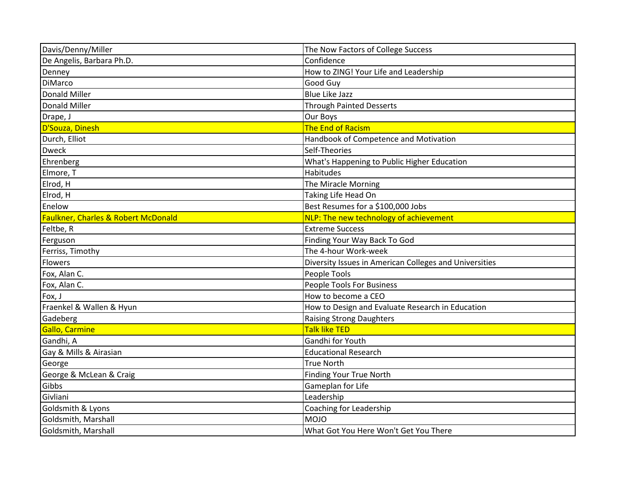| Davis/Denny/Miller                  | The Now Factors of College Success                     |
|-------------------------------------|--------------------------------------------------------|
| De Angelis, Barbara Ph.D.           | Confidence                                             |
| Denney                              | How to ZING! Your Life and Leadership                  |
| <b>DiMarco</b>                      | Good Guy                                               |
| Donald Miller                       | <b>Blue Like Jazz</b>                                  |
| <b>Donald Miller</b>                | <b>Through Painted Desserts</b>                        |
| Drape, J                            | Our Boys                                               |
| D'Souza, Dinesh                     | The End of Racism                                      |
| Durch, Elliot                       | Handbook of Competence and Motivation                  |
| <b>Dweck</b>                        | Self-Theories                                          |
| Ehrenberg                           | What's Happening to Public Higher Education            |
| Elmore, T                           | Habitudes                                              |
| Elrod, H                            | The Miracle Morning                                    |
| Elrod, H                            | Taking Life Head On                                    |
| Enelow                              | Best Resumes for a \$100,000 Jobs                      |
| Faulkner, Charles & Robert McDonald | NLP: The new technology of achievement                 |
| Feltbe, R                           | <b>Extreme Success</b>                                 |
| Ferguson                            | Finding Your Way Back To God                           |
| Ferriss, Timothy                    | The 4-hour Work-week                                   |
| Flowers                             | Diversity Issues in American Colleges and Universities |
| Fox, Alan C.                        | People Tools                                           |
| Fox, Alan C.                        | <b>People Tools For Business</b>                       |
| Fox, J                              | How to become a CEO                                    |
| Fraenkel & Wallen & Hyun            | How to Design and Evaluate Research in Education       |
| Gadeberg                            | <b>Raising Strong Daughters</b>                        |
| Gallo, Carmine                      | <b>Talk like TED</b>                                   |
| Gandhi, A                           | Gandhi for Youth                                       |
| Gay & Mills & Airasian              | <b>Educational Research</b>                            |
| George                              | <b>True North</b>                                      |
| George & McLean & Craig             | <b>Finding Your True North</b>                         |
| Gibbs                               | Gameplan for Life                                      |
| Givliani                            | Leadership                                             |
| Goldsmith & Lyons                   | <b>Coaching for Leadership</b>                         |
| Goldsmith, Marshall                 | <b>MOJO</b>                                            |
| Goldsmith, Marshall                 | What Got You Here Won't Get You There                  |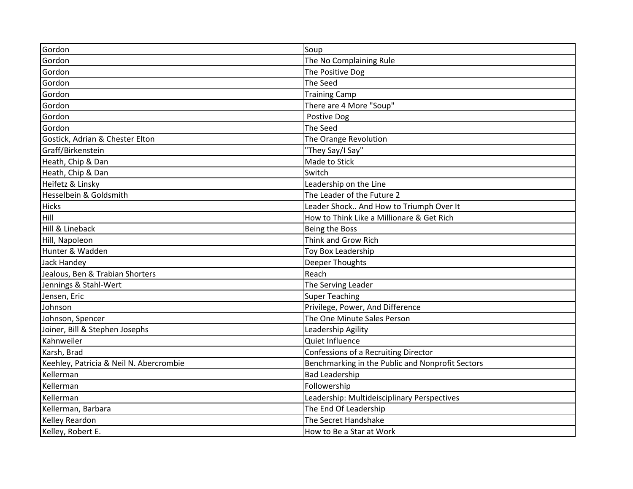| Gordon                                  | Soup                                             |
|-----------------------------------------|--------------------------------------------------|
| Gordon                                  | The No Complaining Rule                          |
| Gordon                                  | The Positive Dog                                 |
| Gordon                                  | The Seed                                         |
| Gordon                                  | <b>Training Camp</b>                             |
| Gordon                                  | There are 4 More "Soup"                          |
| Gordon                                  | Postive Dog                                      |
| Gordon                                  | The Seed                                         |
| Gostick, Adrian & Chester Elton         | The Orange Revolution                            |
| Graff/Birkenstein                       | "They Say/I Say"                                 |
| Heath, Chip & Dan                       | Made to Stick                                    |
| Heath, Chip & Dan                       | Switch                                           |
| Heifetz & Linsky                        | Leadership on the Line                           |
| Hesselbein & Goldsmith                  | The Leader of the Future 2                       |
| <b>Hicks</b>                            | Leader Shock And How to Triumph Over It          |
| Hill                                    | How to Think Like a Millionare & Get Rich        |
| Hill & Lineback                         | Being the Boss                                   |
| Hill, Napoleon                          | Think and Grow Rich                              |
| Hunter & Wadden                         | Toy Box Leadership                               |
| Jack Handey                             | Deeper Thoughts                                  |
| Jealous, Ben & Trabian Shorters         | Reach                                            |
| Jennings & Stahl-Wert                   | The Serving Leader                               |
| Jensen, Eric                            | <b>Super Teaching</b>                            |
| Johnson                                 | Privilege, Power, And Difference                 |
| Johnson, Spencer                        | The One Minute Sales Person                      |
| Joiner, Bill & Stephen Josephs          | Leadership Agility                               |
| Kahnweiler                              | Quiet Influence                                  |
| Karsh, Brad                             | Confessions of a Recruiting Director             |
| Keehley, Patricia & Neil N. Abercrombie | Benchmarking in the Public and Nonprofit Sectors |
| Kellerman                               | <b>Bad Leadership</b>                            |
| Kellerman                               | Followership                                     |
| Kellerman                               | Leadership: Multideisciplinary Perspectives      |
| Kellerman, Barbara                      | The End Of Leadership                            |
| Kelley Reardon                          | The Secret Handshake                             |
| Kelley, Robert E.                       | How to Be a Star at Work                         |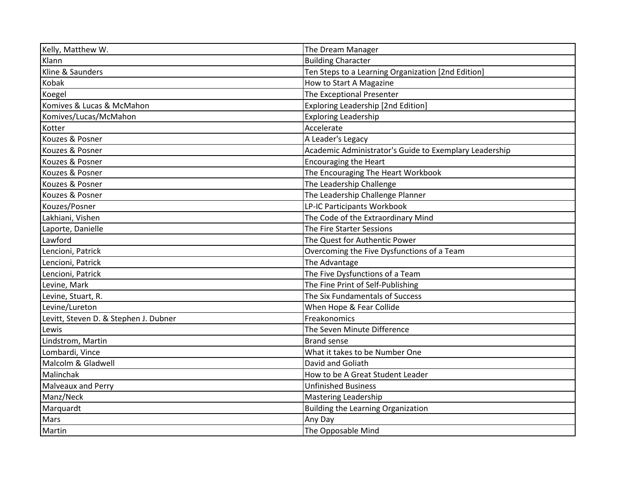| Kelly, Matthew W.                     | The Dream Manager                                      |
|---------------------------------------|--------------------------------------------------------|
| Klann                                 | <b>Building Character</b>                              |
| Kline & Saunders                      | Ten Steps to a Learning Organization [2nd Edition]     |
| Kobak                                 | How to Start A Magazine                                |
| Koegel                                | The Exceptional Presenter                              |
| Komives & Lucas & McMahon             | <b>Exploring Leadership [2nd Edition]</b>              |
| Komives/Lucas/McMahon                 | <b>Exploring Leadership</b>                            |
| Kotter                                | Accelerate                                             |
| Kouzes & Posner                       | A Leader's Legacy                                      |
| Kouzes & Posner                       | Academic Administrator's Guide to Exemplary Leadership |
| Kouzes & Posner                       | <b>Encouraging the Heart</b>                           |
| Kouzes & Posner                       | The Encouraging The Heart Workbook                     |
| Kouzes & Posner                       | The Leadership Challenge                               |
| Kouzes & Posner                       | The Leadership Challenge Planner                       |
| Kouzes/Posner                         | LP-IC Participants Workbook                            |
| Lakhiani, Vishen                      | The Code of the Extraordinary Mind                     |
| Laporte, Danielle                     | The Fire Starter Sessions                              |
| Lawford                               | The Quest for Authentic Power                          |
| Lencioni, Patrick                     | Overcoming the Five Dysfunctions of a Team             |
| Lencioni, Patrick                     | The Advantage                                          |
| Lencioni, Patrick                     | The Five Dysfunctions of a Team                        |
| Levine, Mark                          | The Fine Print of Self-Publishing                      |
| Levine, Stuart, R.                    | The Six Fundamentals of Success                        |
| Levine/Lureton                        | When Hope & Fear Collide                               |
| Levitt, Steven D. & Stephen J. Dubner | Freakonomics                                           |
| Lewis                                 | The Seven Minute Difference                            |
| Lindstrom, Martin                     | <b>Brand sense</b>                                     |
| Lombardi, Vince                       | What it takes to be Number One                         |
| Malcolm & Gladwell                    | David and Goliath                                      |
| Malinchak                             | How to be A Great Student Leader                       |
| <b>Malveaux and Perry</b>             | <b>Unfinished Business</b>                             |
| Manz/Neck                             | <b>Mastering Leadership</b>                            |
| Marquardt                             | <b>Building the Learning Organization</b>              |
| Mars                                  | Any Day                                                |
| Martin                                | The Opposable Mind                                     |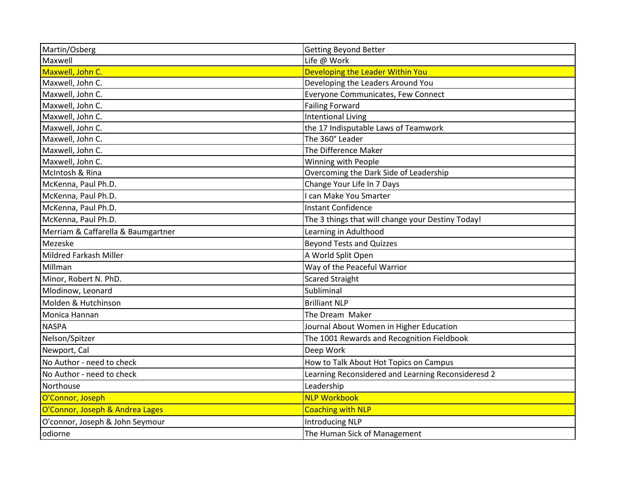| Martin/Osberg                      | <b>Getting Beyond Better</b>                       |
|------------------------------------|----------------------------------------------------|
| Maxwell                            | Life @ Work                                        |
| Maxwell, John C.                   | Developing the Leader Within You                   |
| Maxwell, John C.                   | Developing the Leaders Around You                  |
| Maxwell, John C.                   | Everyone Communicates, Few Connect                 |
| Maxwell, John C.                   | <b>Failing Forward</b>                             |
| Maxwell, John C.                   | <b>Intentional Living</b>                          |
| Maxwell, John C.                   | the 17 Indisputable Laws of Teamwork               |
| Maxwell, John C.                   | The 360° Leader                                    |
| Maxwell, John C.                   | The Difference Maker                               |
| Maxwell, John C.                   | Winning with People                                |
| McIntosh & Rina                    | Overcoming the Dark Side of Leadership             |
| McKenna, Paul Ph.D.                | Change Your Life In 7 Days                         |
| McKenna, Paul Ph.D.                | I can Make You Smarter                             |
| McKenna, Paul Ph.D.                | <b>Instant Confidence</b>                          |
| McKenna, Paul Ph.D.                | The 3 things that will change your Destiny Today!  |
| Merriam & Caffarella & Baumgartner | Learning in Adulthood                              |
| Mezeske                            | <b>Beyond Tests and Quizzes</b>                    |
| Mildred Farkash Miller             | A World Split Open                                 |
| Millman                            | Way of the Peaceful Warrior                        |
| Minor, Robert N. PhD.              | <b>Scared Straight</b>                             |
| Mlodinow, Leonard                  | Subliminal                                         |
| Molden & Hutchinson                | <b>Brilliant NLP</b>                               |
| Monica Hannan                      | The Dream Maker                                    |
| <b>NASPA</b>                       | Journal About Women in Higher Education            |
| Nelson/Spitzer                     | The 1001 Rewards and Recognition Fieldbook         |
| Newport, Cal                       | Deep Work                                          |
| No Author - need to check          | How to Talk About Hot Topics on Campus             |
| No Author - need to check          | Learning Reconsidered and Learning Reconsideresd 2 |
| Northouse                          | Leadership                                         |
| O'Connor, Joseph                   | <b>NLP Workbook</b>                                |
| O'Connor, Joseph & Andrea Lages    | <b>Coaching with NLP</b>                           |
| O'connor, Joseph & John Seymour    | <b>Introducing NLP</b>                             |
| odiorne                            | The Human Sick of Management                       |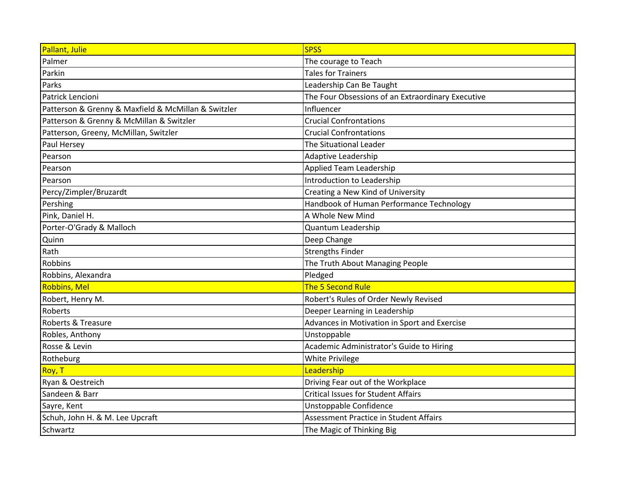| Pallant, Julie                                      | <b>SPSS</b>                                       |
|-----------------------------------------------------|---------------------------------------------------|
| Palmer                                              | The courage to Teach                              |
| Parkin                                              | <b>Tales for Trainers</b>                         |
| Parks                                               | Leadership Can Be Taught                          |
| Patrick Lencioni                                    | The Four Obsessions of an Extraordinary Executive |
| Patterson & Grenny & Maxfield & McMillan & Switzler | Influencer                                        |
| Patterson & Grenny & McMillan & Switzler            | <b>Crucial Confrontations</b>                     |
| Patterson, Greeny, McMillan, Switzler               | <b>Crucial Confrontations</b>                     |
| Paul Hersey                                         | The Situational Leader                            |
| Pearson                                             | <b>Adaptive Leadership</b>                        |
| Pearson                                             | <b>Applied Team Leadership</b>                    |
| Pearson                                             | Introduction to Leadership                        |
| Percy/Zimpler/Bruzardt                              | Creating a New Kind of University                 |
| Pershing                                            | Handbook of Human Performance Technology          |
| Pink, Daniel H.                                     | A Whole New Mind                                  |
| Porter-O'Grady & Malloch                            | <b>Quantum Leadership</b>                         |
| Quinn                                               | Deep Change                                       |
| Rath                                                | <b>Strengths Finder</b>                           |
| Robbins                                             | The Truth About Managing People                   |
| Robbins, Alexandra                                  | Pledged                                           |
| <b>Robbins, Mel</b>                                 | The 5 Second Rule                                 |
| Robert, Henry M.                                    | Robert's Rules of Order Newly Revised             |
| Roberts                                             | Deeper Learning in Leadership                     |
| Roberts & Treasure                                  | Advances in Motivation in Sport and Exercise      |
| Robles, Anthony                                     | Unstoppable                                       |
| Rosse & Levin                                       | Academic Administrator's Guide to Hiring          |
| Rotheburg                                           | <b>White Privilege</b>                            |
| Roy, T                                              | Leadership                                        |
| Ryan & Oestreich                                    | Driving Fear out of the Workplace                 |
| Sandeen & Barr                                      | <b>Critical Issues for Student Affairs</b>        |
| Sayre, Kent                                         | Unstoppable Confidence                            |
| Schuh, John H. & M. Lee Upcraft                     | Assessment Practice in Student Affairs            |
| Schwartz                                            | The Magic of Thinking Big                         |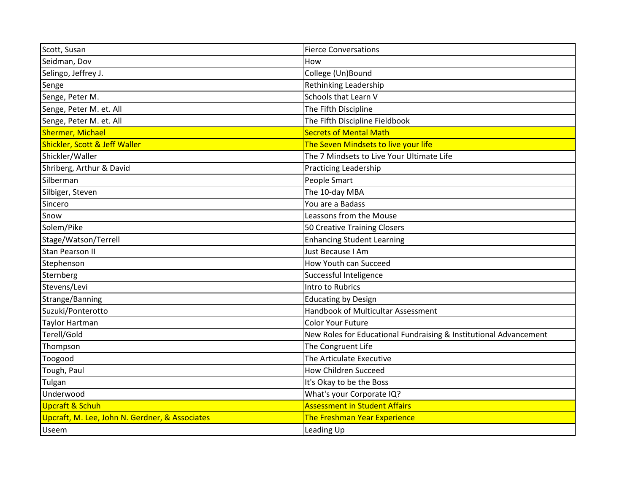| Scott, Susan                                   | <b>Fierce Conversations</b>                                       |
|------------------------------------------------|-------------------------------------------------------------------|
| Seidman, Dov                                   | How                                                               |
| Selingo, Jeffrey J.                            | College (Un)Bound                                                 |
| Senge                                          | Rethinking Leadership                                             |
| Senge, Peter M.                                | Schools that Learn V                                              |
| Senge, Peter M. et. All                        | The Fifth Discipline                                              |
| Senge, Peter M. et. All                        | The Fifth Discipline Fieldbook                                    |
| <b>Shermer, Michael</b>                        | <b>Secrets of Mental Math</b>                                     |
| Shickler, Scott & Jeff Waller                  | The Seven Mindsets to live your life                              |
| Shickler/Waller                                | The 7 Mindsets to Live Your Ultimate Life                         |
| Shriberg, Arthur & David                       | Practicing Leadership                                             |
| Silberman                                      | People Smart                                                      |
| Silbiger, Steven                               | The 10-day MBA                                                    |
| Sincero                                        | You are a Badass                                                  |
| Snow                                           | Leassons from the Mouse                                           |
| Solem/Pike                                     | 50 Creative Training Closers                                      |
| Stage/Watson/Terrell                           | <b>Enhancing Student Learning</b>                                 |
| <b>Stan Pearson II</b>                         | Just Because I Am                                                 |
| Stephenson                                     | How Youth can Succeed                                             |
| Sternberg                                      | Successful Inteligence                                            |
| Stevens/Levi                                   | Intro to Rubrics                                                  |
| Strange/Banning                                | <b>Educating by Design</b>                                        |
| Suzuki/Ponterotto                              | Handbook of Multicultar Assessment                                |
| <b>Taylor Hartman</b>                          | <b>Color Your Future</b>                                          |
| Terell/Gold                                    | New Roles for Educational Fundraising & Institutional Advancement |
| Thompson                                       | The Congruent Life                                                |
| Toogood                                        | The Articulate Executive                                          |
| Tough, Paul                                    | <b>How Children Succeed</b>                                       |
| Tulgan                                         | It's Okay to be the Boss                                          |
| Underwood                                      | What's your Corporate IQ?                                         |
| Upcraft & Schuh                                | <b>Assessment in Student Affairs</b>                              |
| Upcraft, M. Lee, John N. Gerdner, & Associates | The Freshman Year Experience                                      |
| <b>Useem</b>                                   | Leading Up                                                        |